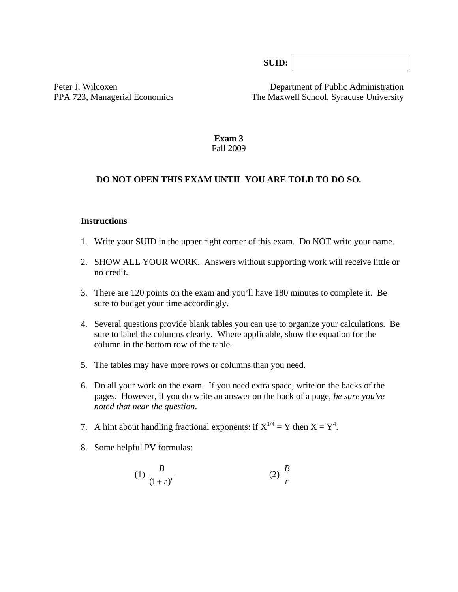**SUID:**

Peter J. Wilcoxen Department of Public Administration PPA 723, Managerial Economics The Maxwell School, Syracuse University

> **Exam 3**  Fall 2009

#### **DO NOT OPEN THIS EXAM UNTIL YOU ARE TOLD TO DO SO.**

#### **Instructions**

- 1. Write your SUID in the upper right corner of this exam. Do NOT write your name.
- 2. SHOW ALL YOUR WORK. Answers without supporting work will receive little or no credit.
- 3. There are 120 points on the exam and you'll have 180 minutes to complete it. Be sure to budget your time accordingly.
- 4. Several questions provide blank tables you can use to organize your calculations. Be sure to label the columns clearly. Where applicable, show the equation for the column in the bottom row of the table*.*
- 5. The tables may have more rows or columns than you need.
- 6. Do all your work on the exam. If you need extra space, write on the backs of the pages. However, if you do write an answer on the back of a page, *be sure you've noted that near the question*.
- 7. A hint about handling fractional exponents: if  $X^{1/4} = Y$  then  $X = Y^4$ .
- 8. Some helpful PV formulas:

(1) 
$$
\frac{B}{(1+r)^t}
$$
 (2)  $\frac{B}{r}$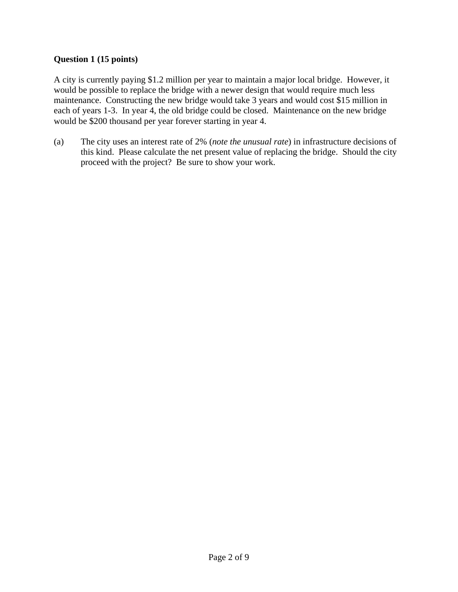## **Question 1 (15 points)**

A city is currently paying \$1.2 million per year to maintain a major local bridge. However, it would be possible to replace the bridge with a newer design that would require much less maintenance. Constructing the new bridge would take 3 years and would cost \$15 million in each of years 1-3. In year 4, the old bridge could be closed. Maintenance on the new bridge would be \$200 thousand per year forever starting in year 4.

(a) The city uses an interest rate of 2% (*note the unusual rate*) in infrastructure decisions of this kind. Please calculate the net present value of replacing the bridge. Should the city proceed with the project? Be sure to show your work.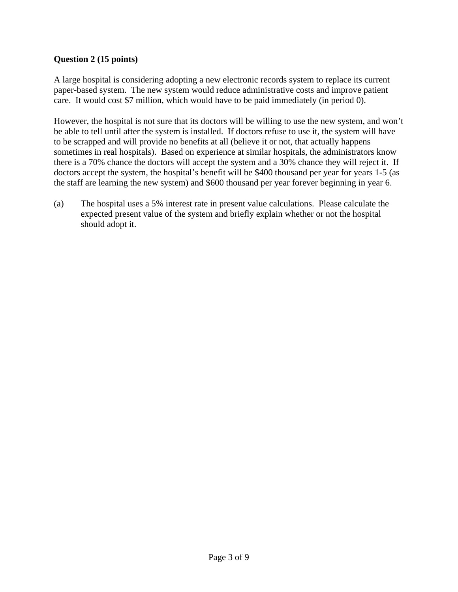## **Question 2 (15 points)**

A large hospital is considering adopting a new electronic records system to replace its current paper-based system. The new system would reduce administrative costs and improve patient care. It would cost \$7 million, which would have to be paid immediately (in period 0).

However, the hospital is not sure that its doctors will be willing to use the new system, and won't be able to tell until after the system is installed. If doctors refuse to use it, the system will have to be scrapped and will provide no benefits at all (believe it or not, that actually happens sometimes in real hospitals). Based on experience at similar hospitals, the administrators know there is a 70% chance the doctors will accept the system and a 30% chance they will reject it. If doctors accept the system, the hospital's benefit will be \$400 thousand per year for years 1-5 (as the staff are learning the new system) and \$600 thousand per year forever beginning in year 6.

(a) The hospital uses a 5% interest rate in present value calculations. Please calculate the expected present value of the system and briefly explain whether or not the hospital should adopt it.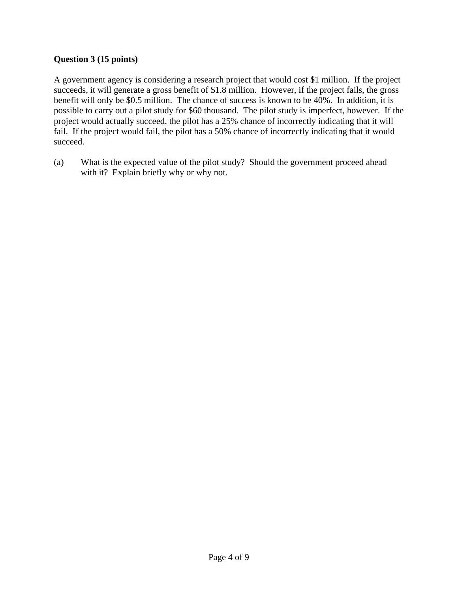## **Question 3 (15 points)**

A government agency is considering a research project that would cost \$1 million. If the project succeeds, it will generate a gross benefit of \$1.8 million. However, if the project fails, the gross benefit will only be \$0.5 million. The chance of success is known to be 40%. In addition, it is possible to carry out a pilot study for \$60 thousand. The pilot study is imperfect, however. If the project would actually succeed, the pilot has a 25% chance of incorrectly indicating that it will fail. If the project would fail, the pilot has a 50% chance of incorrectly indicating that it would succeed.

(a) What is the expected value of the pilot study? Should the government proceed ahead with it? Explain briefly why or why not.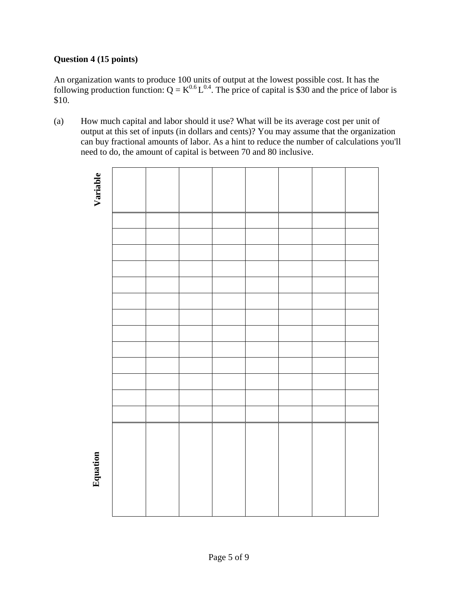## **Question 4 (15 points)**

An organization wants to produce 100 units of output at the lowest possible cost. It has the following production function:  $Q = K^{0.6}L^{0.4}$ . The price of capital is \$30 and the price of labor is \$10.

(a) How much capital and labor should it use? What will be its average cost per unit of output at this set of inputs (in dollars and cents)? You may assume that the organization can buy fractional amounts of labor. As a hint to reduce the number of calculations you'll need to do, the amount of capital is between 70 and 80 inclusive.



### Page 5 of 9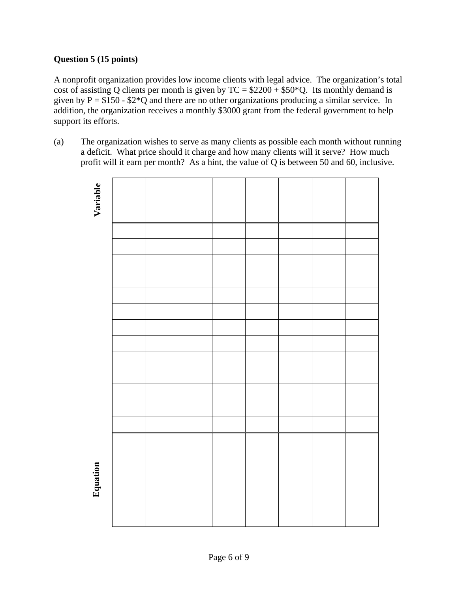## **Question 5 (15 points)**

A nonprofit organization provides low income clients with legal advice. The organization's total cost of assisting Q clients per month is given by  $TC = $2200 + $50*Q$ . Its monthly demand is given by  $P = $150 - $2*Q$  and there are no other organizations producing a similar service. In addition, the organization receives a monthly \$3000 grant from the federal government to help support its efforts.

(a) The organization wishes to serve as many clients as possible each month without running a deficit. What price should it charge and how many clients will it serve? How much profit will it earn per month? As a hint, the value of Q is between 50 and 60, inclusive.

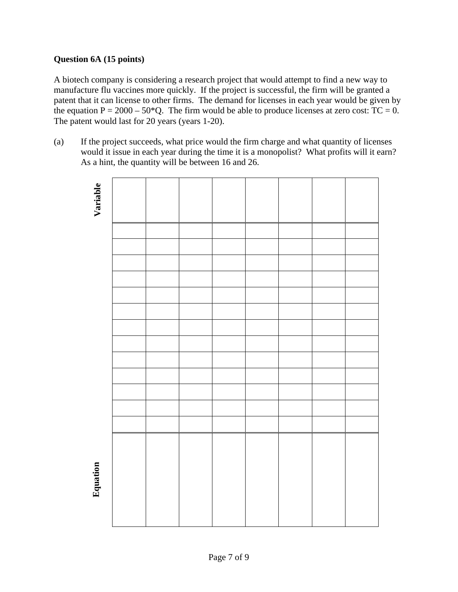## **Question 6A (15 points)**

A biotech company is considering a research project that would attempt to find a new way to manufacture flu vaccines more quickly. If the project is successful, the firm will be granted a patent that it can license to other firms. The demand for licenses in each year would be given by the equation  $P = 2000 - 50*Q$ . The firm would be able to produce licenses at zero cost: TC = 0. The patent would last for 20 years (years 1-20).

(a) If the project succeeds, what price would the firm charge and what quantity of licenses would it issue in each year during the time it is a monopolist? What profits will it earn? As a hint, the quantity will be between 16 and 26.

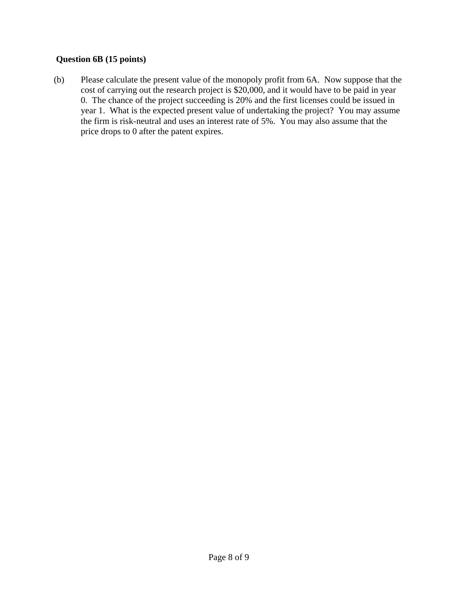## **Question 6B (15 points)**

(b) Please calculate the present value of the monopoly profit from 6A. Now suppose that the cost of carrying out the research project is \$20,000, and it would have to be paid in year 0. The chance of the project succeeding is 20% and the first licenses could be issued in year 1. What is the expected present value of undertaking the project? You may assume the firm is risk-neutral and uses an interest rate of 5%. You may also assume that the price drops to 0 after the patent expires.